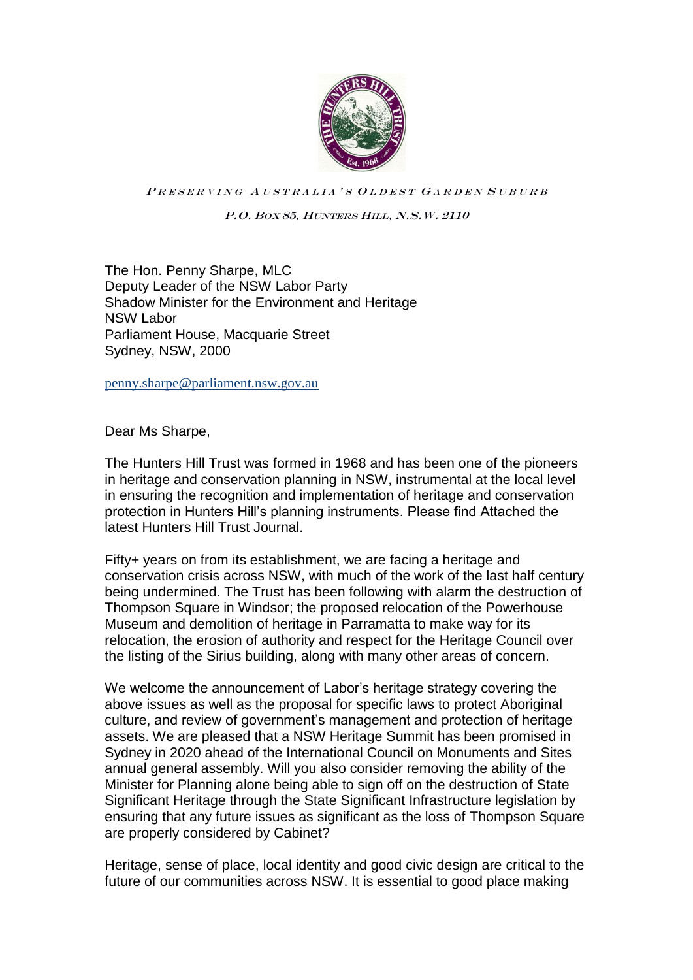

PRESERVING AUSTRALIA'S OLDEST GARDEN SUBURB

P.O. BOX 85, HUNTERS HILL, N.S.W. 2110

The Hon. Penny Sharpe, MLC Deputy Leader of the NSW Labor Party Shadow Minister for the Environment and Heritage NSW Labor Parliament House, Macquarie Street Sydney, NSW, 2000

penny.sharpe@parliament.nsw.gov.au

Dear Ms Sharpe,

The Hunters Hill Trust was formed in 1968 and has been one of the pioneers in heritage and conservation planning in NSW, instrumental at the local level in ensuring the recognition and implementation of heritage and conservation protection in Hunters Hill's planning instruments. Please find Attached the latest Hunters Hill Trust Journal.

Fifty+ years on from its establishment, we are facing a heritage and conservation crisis across NSW, with much of the work of the last half century being undermined. The Trust has been following with alarm the destruction of Thompson Square in Windsor; the proposed relocation of the Powerhouse Museum and demolition of heritage in Parramatta to make way for its relocation, the erosion of authority and respect for the Heritage Council over the listing of the Sirius building, along with many other areas of concern.

We welcome the announcement of Labor's heritage strategy covering the above issues as well as the proposal for specific laws to protect Aboriginal culture, and review of government's management and protection of heritage assets. We are pleased that a NSW Heritage Summit has been promised in Sydney in 2020 ahead of the International Council on Monuments and Sites annual general assembly. Will you also consider removing the ability of the Minister for Planning alone being able to sign off on the destruction of State Significant Heritage through the State Significant Infrastructure legislation by ensuring that any future issues as significant as the loss of Thompson Square are properly considered by Cabinet?

Heritage, sense of place, local identity and good civic design are critical to the future of our communities across NSW. It is essential to good place making